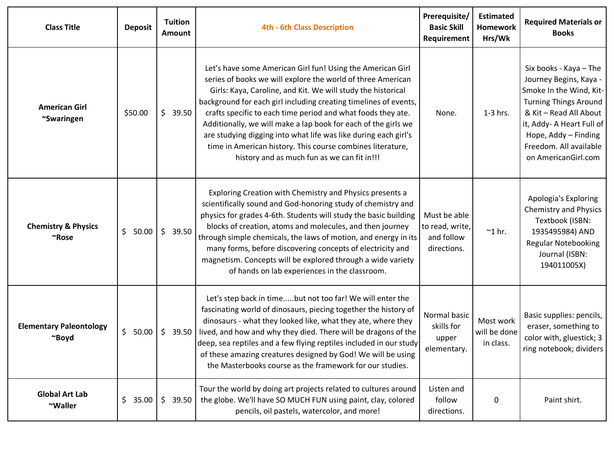| <b>Class Title</b>                             | <b>Deposit</b> | <b>Tuition</b><br>Amount | <b>4th - 6th Class Description</b>                                                                                                                                                                                                                                                                                                                                                                                                                                                                                                                                              | Prerequisite/<br><b>Basic Skill</b><br>Requirement           | <b>Estimated</b><br><b>Homework</b><br>Hrs/Wk | <b>Required Materials or</b><br><b>Books</b>                                                                                                                                                                                                |
|------------------------------------------------|----------------|--------------------------|---------------------------------------------------------------------------------------------------------------------------------------------------------------------------------------------------------------------------------------------------------------------------------------------------------------------------------------------------------------------------------------------------------------------------------------------------------------------------------------------------------------------------------------------------------------------------------|--------------------------------------------------------------|-----------------------------------------------|---------------------------------------------------------------------------------------------------------------------------------------------------------------------------------------------------------------------------------------------|
| <b>American Girl</b><br>~Swaringen             | \$50.00        | \$39.50                  | Let's have some American Girl fun! Using the American Girl<br>series of books we will explore the world of three American<br>Girls: Kaya, Caroline, and Kit. We will study the historical<br>background for each girl including creating timelines of events,<br>crafts specific to each time period and what foods they ate.<br>Additionally, we will make a lap book for each of the girls we<br>are studying digging into what life was like during each girl's<br>time in American history. This course combines literature,<br>history and as much fun as we can fit in!!! | None.                                                        | $1-3$ hrs.                                    | Six books - Kaya - The<br>Journey Begins, Kaya -<br>Smoke In the Wind, Kit-<br><b>Turning Things Around</b><br>& Kit - Read All About<br>it, Addy- A Heart Full of<br>Hope, Addy - Finding<br>Freedom. All available<br>on AmericanGirl.com |
| <b>Chemistry &amp; Physics</b><br>$~\sim$ Rose | \$50.00        | \$<br>39.50              | Exploring Creation with Chemistry and Physics presents a<br>scientifically sound and God-honoring study of chemistry and<br>physics for grades 4-6th. Students will study the basic building<br>blocks of creation, atoms and molecules, and then journey<br>through simple chemicals, the laws of motion, and energy in its<br>many forms, before discovering concepts of electricity and<br>magnetism. Concepts will be explored through a wide variety<br>of hands on lab experiences in the classroom.                                                                      | Must be able<br>to read, write,<br>and follow<br>directions. | $^{\sim}$ 1 hr.                               | Apologia's Exploring<br><b>Chemistry and Physics</b><br>Textbook (ISBN:<br>1935495984) AND<br><b>Regular Notebooking</b><br>Journal (ISBN:<br>194011005X)                                                                                   |
| <b>Elementary Paleontology</b><br>~Boyd        | \$50.00        | \$<br>39.50              | Let's step back in timebut not too far! We will enter the<br>fascinating world of dinosaurs, piecing together the history of<br>dinosaurs - what they looked like, what they ate, where they<br>lived, and how and why they died. There will be dragons of the<br>deep, sea reptiles and a few flying reptiles included in our study<br>of these amazing creatures designed by God! We will be using<br>the Masterbooks course as the framework for our studies.                                                                                                                | Normal basic<br>skills for<br>upper<br>elementary.           | Most work<br>will be done<br>in class.        | Basic supplies: pencils,<br>eraser, something to<br>color with, gluestick; 3<br>ring notebook; dividers                                                                                                                                     |
| <b>Global Art Lab</b><br>~Waller               | \$35.00        | \$39.50                  | Tour the world by doing art projects related to cultures around<br>the globe. We'll have SO MUCH FUN using paint, clay, colored<br>pencils, oil pastels, watercolor, and more!                                                                                                                                                                                                                                                                                                                                                                                                  | Listen and<br>follow<br>directions.                          | 0                                             | Paint shirt.                                                                                                                                                                                                                                |